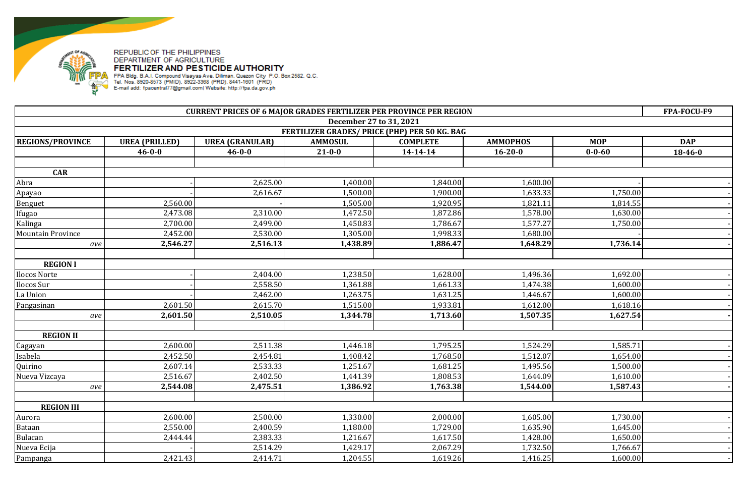

| <b>CURRENT PRICES OF 6 MAJOR GRADES FERTILIZER PER PROVINCE PER REGION</b> |                       |                        |                                               |                 |                 |              | FPA-FOCU-F9   |
|----------------------------------------------------------------------------|-----------------------|------------------------|-----------------------------------------------|-----------------|-----------------|--------------|---------------|
|                                                                            |                       |                        | December 27 to 31, 2021                       |                 |                 |              |               |
|                                                                            |                       |                        | FERTILIZER GRADES/ PRICE (PHP) PER 50 KG. BAG |                 |                 |              |               |
| <b>REGIONS/PROVINCE</b>                                                    | <b>UREA (PRILLED)</b> | <b>UREA (GRANULAR)</b> | <b>AMMOSUL</b>                                | <b>COMPLETE</b> | <b>AMMOPHOS</b> | <b>MOP</b>   | <b>DAP</b>    |
|                                                                            | $46 - 0 - 0$          | $46 - 0 - 0$           | $21 - 0 - 0$                                  | $14 - 14 - 14$  | $16 - 20 - 0$   | $0 - 0 - 60$ | $18 - 46 - 0$ |
|                                                                            |                       |                        |                                               |                 |                 |              |               |
| <b>CAR</b>                                                                 |                       |                        |                                               |                 |                 |              |               |
| Abra                                                                       |                       | 2,625.00               | 1,400.00                                      | 1,840.00        | 1,600.00        |              |               |
| Apayao                                                                     |                       | 2,616.67               | 1,500.00                                      | 1,900.00        | 1,633.33        | 1,750.00     |               |
| Benguet                                                                    | 2,560.00              |                        | 1,505.00                                      | 1,920.95        | 1,821.11        | 1,814.55     |               |
| Ifugao                                                                     | 2,473.08              | 2,310.00               | 1,472.50                                      | 1,872.86        | 1,578.00        | 1,630.00     |               |
| Kalinga                                                                    | 2,700.00              | 2,499.00               | 1,450.83                                      | 1,786.67        | 1,577.27        | 1,750.00     |               |
| <b>Mountain Province</b>                                                   | 2,452.00              | 2,530.00               | 1,305.00                                      | 1,998.33        | 1,680.00        |              |               |
| ave                                                                        | 2,546.27              | 2,516.13               | 1,438.89                                      | 1,886.47        | 1,648.29        | 1,736.14     |               |
|                                                                            |                       |                        |                                               |                 |                 |              |               |
| <b>REGION I</b>                                                            |                       |                        |                                               |                 |                 |              |               |
| Ilocos Norte                                                               |                       | 2,404.00               | 1,238.50                                      | 1,628.00        | 1,496.36        | 1,692.00     |               |
| Ilocos Sur                                                                 |                       | 2,558.50               | 1,361.88                                      | 1,661.33        | 1,474.38        | 1,600.00     |               |
| La Union                                                                   |                       | 2,462.00               | 1,263.75                                      | 1,631.25        | 1,446.67        | 1,600.00     |               |
| Pangasinan                                                                 | 2,601.50              | 2,615.70               | 1,515.00                                      | 1,933.81        | 1,612.00        | 1,618.16     |               |
| ave                                                                        | 2,601.50              | 2,510.05               | 1,344.78                                      | 1,713.60        | 1,507.35        | 1,627.54     |               |
|                                                                            |                       |                        |                                               |                 |                 |              |               |
| <b>REGION II</b>                                                           |                       |                        |                                               |                 |                 |              |               |
| Cagayan                                                                    | 2,600.00              | 2,511.38               | 1,446.18                                      | 1,795.25        | 1,524.29        | 1,585.71     |               |
| Isabela                                                                    | 2,452.50              | 2,454.81               | 1,408.42                                      | 1,768.50        | 1,512.07        | 1,654.00     |               |
| Quirino                                                                    | 2,607.14              | 2,533.33               | 1,251.67                                      | 1,681.25        | 1,495.56        | 1,500.00     |               |
| Nueva Vizcaya                                                              | 2,516.67              | 2,402.50               | 1,441.39                                      | 1,808.53        | 1,644.09        | 1,610.00     |               |
| ave                                                                        | 2,544.08              | 2,475.51               | 1,386.92                                      | 1,763.38        | 1,544.00        | 1,587.43     |               |
|                                                                            |                       |                        |                                               |                 |                 |              |               |
| <b>REGION III</b>                                                          |                       |                        |                                               |                 |                 |              |               |
| Aurora                                                                     | 2,600.00              | 2,500.00               | 1,330.00                                      | 2,000.00        | 1,605.00        | 1,730.00     |               |
| Bataan                                                                     | 2,550.00              | 2,400.59               | 1,180.00                                      | 1,729.00        | 1,635.90        | 1,645.00     |               |
| Bulacan                                                                    | 2,444.44              | 2,383.33               | 1,216.67                                      | 1,617.50        | 1,428.00        | 1,650.00     |               |
| Nueva Ecija                                                                |                       | 2,514.29               | 1,429.17                                      | 2,067.29        | 1,732.50        | 1,766.67     |               |
| Pampanga                                                                   | 2,421.43              | 2,414.71               | 1,204.55                                      | 1,619.26        | 1,416.25        | 1,600.00     |               |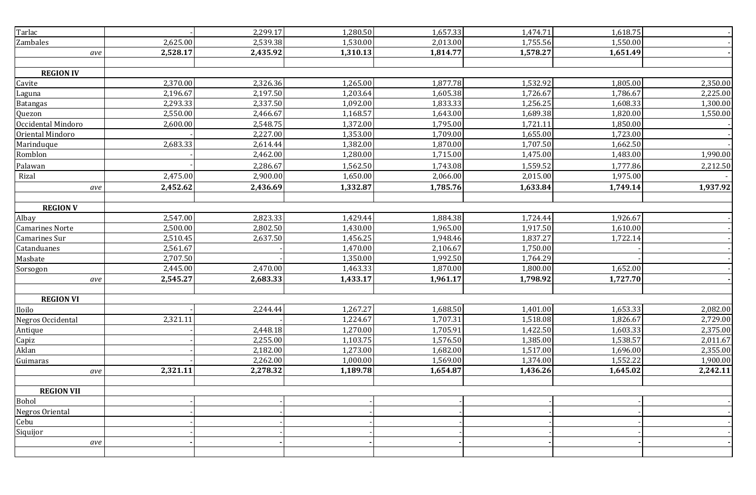| Tarlac                 |          | 2,299.17 | 1,280.50 | 1,657.33 | 1,474.71 | 1,618.75 |          |
|------------------------|----------|----------|----------|----------|----------|----------|----------|
| Zambales               | 2,625.00 | 2,539.38 | 1,530.00 | 2,013.00 | 1,755.56 | 1,550.00 |          |
| ave                    | 2,528.17 | 2,435.92 | 1,310.13 | 1,814.77 | 1,578.27 | 1,651.49 |          |
|                        |          |          |          |          |          |          |          |
| <b>REGION IV</b>       |          |          |          |          |          |          |          |
| Cavite                 | 2,370.00 | 2,326.36 | 1,265.00 | 1,877.78 | 1,532.92 | 1,805.00 | 2,350.00 |
| Laguna                 | 2,196.67 | 2,197.50 | 1,203.64 | 1,605.38 | 1,726.67 | 1,786.67 | 2,225.00 |
| <b>Batangas</b>        | 2,293.33 | 2,337.50 | 1,092.00 | 1,833.33 | 1,256.25 | 1,608.33 | 1,300.00 |
| Quezon                 | 2,550.00 | 2,466.67 | 1,168.57 | 1,643.00 | 1,689.38 | 1,820.00 | 1,550.00 |
| Occidental Mindoro     | 2,600.00 | 2,548.75 | 1,372.00 | 1,795.00 | 1,721.11 | 1,850.00 |          |
| Oriental Mindoro       |          | 2,227.00 | 1,353.00 | 1,709.00 | 1,655.00 | 1,723.00 |          |
| Marinduque             | 2,683.33 | 2,614.44 | 1,382.00 | 1,870.00 | 1,707.50 | 1,662.50 |          |
| Romblon                |          | 2,462.00 | 1,280.00 | 1,715.00 | 1,475.00 | 1,483.00 | 1,990.00 |
| Palawan                |          | 2,286.67 | 1,562.50 | 1,743.08 | 1,559.52 | 1,777.86 | 2,212.50 |
| Rizal                  | 2,475.00 | 2,900.00 | 1,650.00 | 2,066.00 | 2,015.00 | 1,975.00 |          |
| ave                    | 2,452.62 | 2,436.69 | 1,332.87 | 1,785.76 | 1,633.84 | 1,749.14 | 1,937.92 |
|                        |          |          |          |          |          |          |          |
| <b>REGION V</b>        |          |          |          |          |          |          |          |
| Albay                  | 2,547.00 | 2,823.33 | 1,429.44 | 1,884.38 | 1,724.44 | 1,926.67 |          |
| <b>Camarines Norte</b> | 2,500.00 | 2,802.50 | 1,430.00 | 1,965.00 | 1,917.50 | 1,610.00 |          |
| Camarines Sur          | 2,510.45 | 2,637.50 | 1,456.25 | 1,948.46 | 1,837.27 | 1,722.14 |          |
| Catanduanes            | 2,561.67 |          | 1,470.00 | 2,106.67 | 1,750.00 |          |          |
| Masbate                | 2,707.50 |          | 1,350.00 | 1,992.50 | 1,764.29 |          |          |
| Sorsogon               | 2,445.00 | 2,470.00 | 1,463.33 | 1,870.00 | 1,800.00 | 1,652.00 |          |
| ave                    | 2,545.27 | 2,683.33 | 1,433.17 | 1,961.17 | 1,798.92 | 1,727.70 |          |
|                        |          |          |          |          |          |          |          |
| <b>REGION VI</b>       |          |          |          |          |          |          |          |
| Iloilo                 |          | 2,244.44 | 1,267.27 | 1,688.50 | 1,401.00 | 1,653.33 | 2,082.00 |
| Negros Occidental      | 2,321.11 |          | 1,224.67 | 1,707.31 | 1,518.08 | 1,826.67 | 2,729.00 |
| Antique                |          | 2,448.18 | 1,270.00 | 1,705.91 | 1,422.50 | 1,603.33 | 2,375.00 |
| Capiz                  |          | 2,255.00 | 1,103.75 | 1,576.50 | 1,385.00 | 1,538.57 | 2,011.67 |
| Aklan                  |          | 2,182.00 | 1,273.00 | 1,682.00 | 1,517.00 | 1,696.00 | 2,355.00 |
| Guimaras               |          | 2,262.00 | 1,000.00 | 1,569.00 | 1,374.00 | 1,552.22 | 1,900.00 |
| ave                    | 2,321.11 | 2,278.32 | 1,189.78 | 1,654.87 | 1,436.26 | 1,645.02 | 2,242.11 |
|                        |          |          |          |          |          |          |          |
| <b>REGION VII</b>      |          |          |          |          |          |          |          |
| Bohol                  |          |          |          |          |          |          |          |
| Negros Oriental        |          |          |          |          |          |          |          |
| Cebu                   |          |          |          |          |          |          |          |
| Siquijor               |          |          |          |          |          |          |          |
| ave                    |          |          |          |          |          |          |          |
|                        |          |          |          |          |          |          |          |
|                        |          |          |          |          |          |          |          |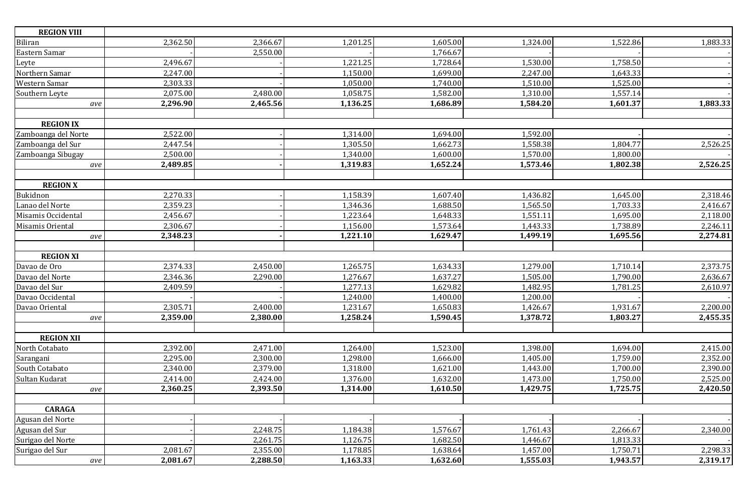| <b>REGION VIII</b>  |          |          |          |          |          |          |          |
|---------------------|----------|----------|----------|----------|----------|----------|----------|
| Biliran             | 2,362.50 | 2,366.67 | 1,201.25 | 1,605.00 | 1,324.00 | 1,522.86 | 1,883.33 |
| Eastern Samar       |          | 2,550.00 |          | 1,766.67 |          |          |          |
| Leyte               | 2,496.67 |          | 1,221.25 | 1,728.64 | 1,530.00 | 1,758.50 |          |
| Northern Samar      | 2,247.00 |          | 1,150.00 | 1,699.00 | 2,247.00 | 1,643.33 |          |
| Western Samar       | 2,303.33 |          | 1,050.00 | 1,740.00 | 1,510.00 | 1,525.00 |          |
| Southern Leyte      | 2,075.00 | 2,480.00 | 1,058.75 | 1,582.00 | 1,310.00 | 1,557.14 |          |
| ave                 | 2,296.90 | 2,465.56 | 1,136.25 | 1,686.89 | 1,584.20 | 1,601.37 | 1,883.33 |
|                     |          |          |          |          |          |          |          |
| <b>REGION IX</b>    |          |          |          |          |          |          |          |
| Zamboanga del Norte | 2,522.00 |          | 1,314.00 | 1,694.00 | 1,592.00 |          |          |
| Zamboanga del Sur   | 2,447.54 |          | 1,305.50 | 1,662.73 | 1,558.38 | 1,804.77 | 2,526.25 |
| Zamboanga Sibugay   | 2,500.00 |          | 1,340.00 | 1,600.00 | 1,570.00 | 1,800.00 |          |
| ave                 | 2,489.85 |          | 1,319.83 | 1,652.24 | 1,573.46 | 1,802.38 | 2,526.25 |
|                     |          |          |          |          |          |          |          |
| <b>REGION X</b>     |          |          |          |          |          |          |          |
| Bukidnon            | 2,270.33 |          | 1,158.39 | 1,607.40 | 1,436.82 | 1,645.00 | 2,318.46 |
| Lanao del Norte     | 2,359.23 |          | 1,346.36 | 1,688.50 | 1,565.50 | 1,703.33 | 2,416.67 |
| Misamis Occidental  | 2,456.67 |          | 1,223.64 | 1,648.33 | 1,551.11 | 1,695.00 | 2,118.00 |
| Misamis Oriental    | 2,306.67 |          | 1,156.00 | 1,573.64 | 1,443.33 | 1,738.89 | 2,246.11 |
| ave                 | 2,348.23 |          | 1,221.10 | 1,629.47 | 1,499.19 | 1,695.56 | 2,274.81 |
|                     |          |          |          |          |          |          |          |
| <b>REGION XI</b>    |          |          |          |          |          |          |          |
| Davao de Oro        | 2,374.33 | 2,450.00 | 1,265.75 | 1,634.33 | 1,279.00 | 1,710.14 | 2,373.75 |
| Davao del Norte     | 2,346.36 | 2,290.00 | 1,276.67 | 1,637.27 | 1,505.00 | 1,790.00 | 2,636.67 |
| Davao del Sur       | 2,409.59 |          | 1,277.13 | 1,629.82 | 1,482.95 | 1,781.25 | 2,610.97 |
| Davao Occidental    |          |          | 1,240.00 | 1,400.00 | 1,200.00 |          |          |
| Davao Oriental      | 2,305.71 | 2,400.00 | 1,231.67 | 1,650.83 | 1,426.67 | 1,931.67 | 2,200.00 |
| ave                 | 2,359.00 | 2,380.00 | 1,258.24 | 1,590.45 | 1,378.72 | 1,803.27 | 2,455.35 |
|                     |          |          |          |          |          |          |          |
| <b>REGION XII</b>   |          |          |          |          |          |          |          |
| North Cotabato      | 2,392.00 | 2,471.00 | 1,264.00 | 1,523.00 | 1,398.00 | 1,694.00 | 2,415.00 |
| Sarangani           | 2,295.00 | 2,300.00 | 1,298.00 | 1,666.00 | 1,405.00 | 1,759.00 | 2,352.00 |
| South Cotabato      | 2,340.00 | 2,379.00 | 1,318.00 | 1,621.00 | 1,443.00 | 1,700.00 | 2,390.00 |
| Sultan Kudarat      | 2,414.00 | 2,424.00 | 1,376.00 | 1,632.00 | 1,473.00 | 1,750.00 | 2,525.00 |
| ave                 | 2,360.25 | 2,393.50 | 1,314.00 | 1,610.50 | 1,429.75 | 1,725.75 | 2,420.50 |
|                     |          |          |          |          |          |          |          |
| <b>CARAGA</b>       |          |          |          |          |          |          |          |
| Agusan del Norte    |          |          |          |          |          |          |          |
| Agusan del Sur      |          | 2,248.75 | 1,184.38 | 1,576.67 | 1,761.43 | 2,266.67 | 2,340.00 |
| Surigao del Norte   |          | 2,261.75 | 1,126.75 | 1,682.50 | 1,446.67 | 1,813.33 |          |
| Surigao del Sur     | 2,081.67 | 2,355.00 | 1,178.85 | 1,638.64 | 1,457.00 | 1,750.71 | 2,298.33 |
| ave                 | 2,081.67 | 2,288.50 | 1,163.33 | 1,632.60 | 1,555.03 | 1,943.57 | 2,319.17 |